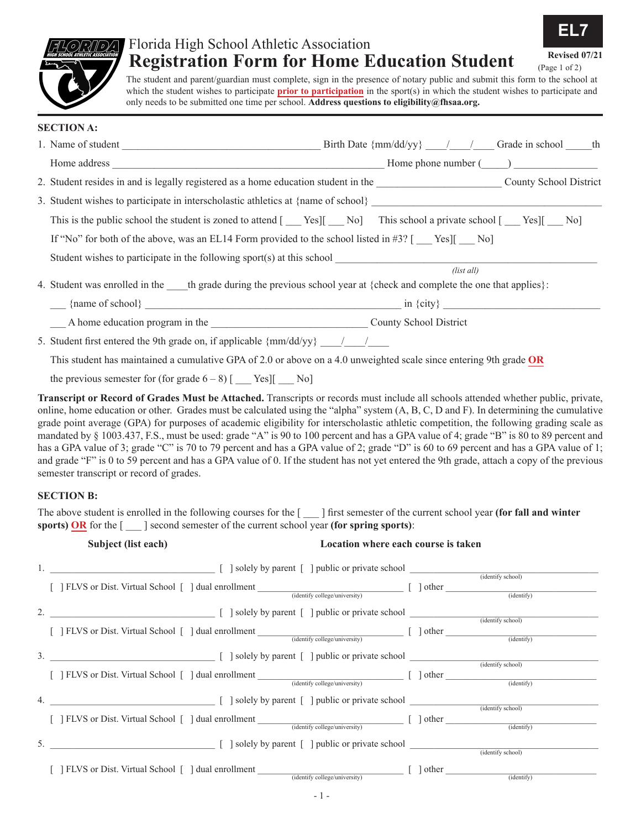# Florida High School Athletic Association<br> **Registration Form for Home Education Student**

**EL7**

(Page 1 of 2)

The student and parent/guardian must complete, sign in the presence of notary public and submit this form to the school at which the student wishes to participate **prior to participation** in the sport(s) in which the student wishes to participate and only needs to be submitted one time per school. **Address questions to eligibility@fhsaa.org.**

| <b>SECTION A:</b>                                                                                                      |
|------------------------------------------------------------------------------------------------------------------------|
|                                                                                                                        |
|                                                                                                                        |
| 2. Student resides in and is legally registered as a home education student in the County School District              |
|                                                                                                                        |
| This is the public school the student is zoned to attend [Nesl] No This school a private school [Nesl] No No           |
| If "No" for both of the above, was an EL14 Form provided to the school listed in #3? $\lceil$ Yes] $\lceil$ No]        |
|                                                                                                                        |
| (list all)                                                                                                             |
| 4. Student was enrolled in the the grade during the previous school year at {check and complete the one that applies}: |
|                                                                                                                        |
| A home education program in the County School District                                                                 |
| 5. Student first entered the 9th grade on, if applicable $\{mm/dd/yy\}$ / /                                            |
| This student has maintained a cumulative GPA of 2.0 or above on a 4.0 unweighted scale since entering 9th grade OR     |

the previous semester for (for grade  $6 - 8$ ) [ Yes][ No]

**Transcript or Record of Grades Must be Attached.** Transcripts or records must include all schools attended whether public, private, online, home education or other. Grades must be calculated using the "alpha" system (A, B, C, D and F). In determining the cumulative grade point average (GPA) for purposes of academic eligibility for interscholastic athletic competition, the following grading scale as mandated by § 1003.437, F.S., must be used: grade "A" is 90 to 100 percent and has a GPA value of 4; grade "B" is 80 to 89 percent and has a GPA value of 3; grade "C" is 70 to 79 percent and has a GPA value of 2; grade "D" is 60 to 69 percent and has a GPA value of 1; and grade "F" is 0 to 59 percent and has a GPA value of 0. If the student has not yet entered the 9th grade, attach a copy of the previous semester transcript or record of grades.

#### **SECTION B:**

The above student is enrolled in the following courses for the [ \_\_\_ ] first semester of the current school year **(for fall and winter sports) OR** for the [ \_\_\_ ] second semester of the current school year **(for spring sports)**:

|                  | Subject (list each)<br>Location where each course is taken                                                                                                                                                                                                     |  |                   |
|------------------|----------------------------------------------------------------------------------------------------------------------------------------------------------------------------------------------------------------------------------------------------------------|--|-------------------|
|                  | [ ] FLVS or Dist. Virtual School [ ] dual enrollment (identify college/university) [ ] other (identify (identify)                                                                                                                                              |  |                   |
|                  |                                                                                                                                                                                                                                                                |  | (identify school) |
| $\mathfrak{Z}$ . | [ ] FLVS or Dist. Virtual School [ ] dual enrollment (identify college/university) [ ] other (identify (identify)                                                                                                                                              |  |                   |
|                  | $\left[\right]$ solely by parent $\left[\right]$ public or private school<br>[ ] FLVS or Dist. Virtual School [ ] dual enrollment (identify college/university) [ ] other (identify) (identify                                                                 |  | (identify school) |
| 4.               | $\begin{bmatrix} \end{bmatrix}$ solely by parent $\begin{bmatrix} \end{bmatrix}$ public or private school $\begin{bmatrix} \end{bmatrix}$<br>[ ] FLVS or Dist. Virtual School [ ] dual enrollment (identify college/university) [ ] other (identify (identify) |  | (identify school) |
|                  | 5. [ ] solely by parent [ ] public or private school                                                                                                                                                                                                           |  | (identify school) |
|                  | $\begin{array}{c} \begin{array}{c} \begin{array}{c} \end{array} \end{array}$ $\begin{array}{c} \end{array}$ dther $\begin{array}{c} \end{array}$<br>[ ] FLVS or Dist. Virtual School [ ] dual enrollment<br>(identify college/university)                      |  | (identity)        |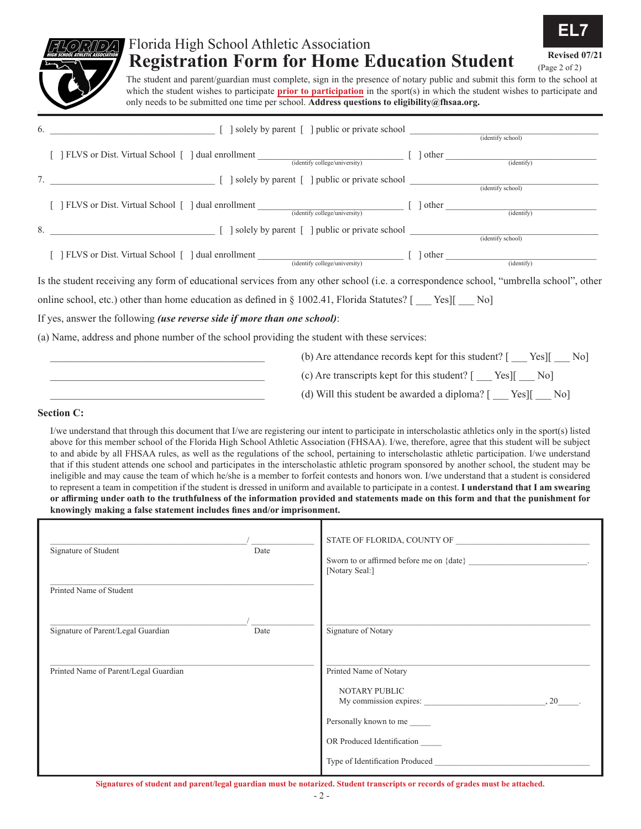

## Florida High School Athletic Association<br> **Registration Form for Home Education Student**

**EL7**

(Page 2 of 2)

The student and parent/guardian must complete, sign in the presence of notary public and submit this form to the school at which the student wishes to participate **prior to participation** in the sport(s) in which the student wishes to participate and only needs to be submitted one time per school. **Address questions to eligibility@fhsaa.org.**

| 6. |                                                                                                                                         |  |
|----|-----------------------------------------------------------------------------------------------------------------------------------------|--|
|    | [ ] FLVS or Dist. Virtual School [ ] dual enrollment (identify college/university) [ ] other ____________<br>$\overline{(identity)}$    |  |
|    |                                                                                                                                         |  |
|    | [ ] FLVS or Dist. Virtual School [ ] dual enrollment (identify college/university) [ ] other (identify (identify)                       |  |
| 8. |                                                                                                                                         |  |
|    | [ ] FLVS or Dist. Virtual School [ ] dual enrollment (identify college/university) [ ] other (identify (identify)                       |  |
|    | Is the student receiving any form of educational services from any other school (i.e. a correspondence school, "umbrella school", other |  |
|    | online school, etc.) other than home education as defined in $\S$ 1002.41, Florida Statutes? [Yes] [No]                                 |  |
|    | If yes, answer the following <i>(use reverse side if more than one school)</i> :                                                        |  |
|    | (a) Name, address and phone number of the school providing the student with these services:                                             |  |
|    | (b) Are attendance records kept for this student? [ ___ Yes][ __ No]                                                                    |  |
|    | (c) Are transcripts kept for this student? $[\_\_\]$ Yes] $[\_\_\]$ No]                                                                 |  |

#### **Section C:**

I/we understand that through this document that I/we are registering our intent to participate in interscholastic athletics only in the sport(s) listed above for this member school of the Florida High School Athletic Association (FHSAA). I/we, therefore, agree that this student will be subject to and abide by all FHSAA rules, as well as the regulations of the school, pertaining to interscholastic athletic participation. I/we understand that if this student attends one school and participates in the interscholastic athletic program sponsored by another school, the student may be ineligible and may cause the team of which he/she is a member to forfeit contests and honors won. I/we understand that a student is considered to represent a team in competition if the student is dressed in uniform and available to participate in a contest. **I understand that I am swearing or affirming under oath to the truthfulness of the information provided and statements made on this form and that the punishment for knowingly making a false statement includes fines and/or imprisonment.**

 $(d)$  Will this student be awarded a diploma?  $[$  Yes][  $\sim$  No]

| Signature of Student                  | Date | STATE OF FLORIDA, COUNTY OF<br>Sworn to or affirmed before me on {date}<br>[Notary Seal:] |
|---------------------------------------|------|-------------------------------------------------------------------------------------------|
| Printed Name of Student               |      |                                                                                           |
| Signature of Parent/Legal Guardian    | Date | Signature of Notary                                                                       |
| Printed Name of Parent/Legal Guardian |      | Printed Name of Notary                                                                    |
|                                       |      | NOTARY PUBLIC<br>My commission expires:<br>.20                                            |
|                                       |      | Personally known to me                                                                    |
|                                       |      | OR Produced Identification                                                                |
|                                       |      | Type of Identification Produced                                                           |

**Signatures of student and parent/legal guardian must be notarized. Student transcripts or records of grades must be attached.**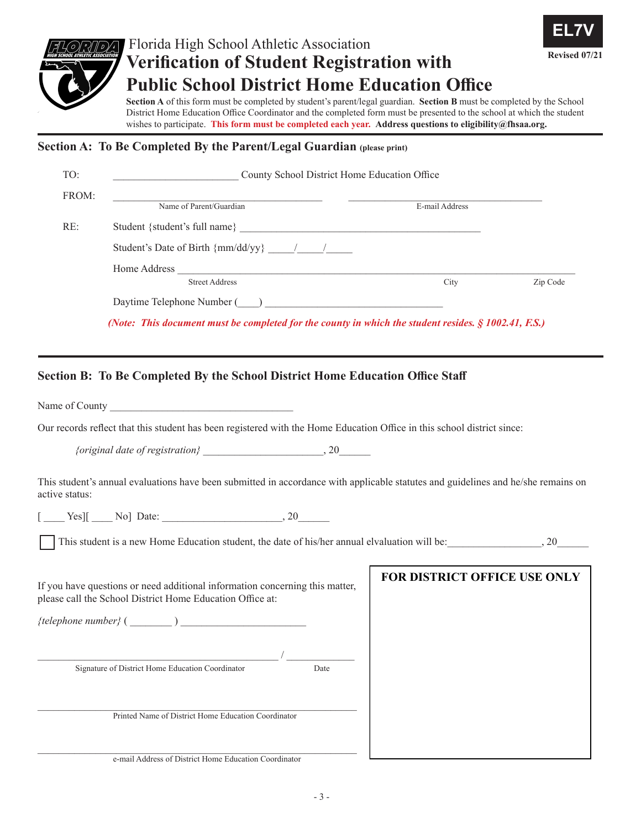

### Florida High School Athletic Association **Revised 07/21 Verification of Student Registration with Public School District Home Education Office**



**Section A** of this form must be completed by student's parent/legal guardian. **Section B** must be completed by the School District Home Education Office Coordinator and the completed form must be presented to the school at which the student wishes to participate. **This form must be completed each year. Address questions to eligibility@fhsaa.org.**

### **Section A: To Be Completed By the Parent/Legal Guardian (please print)**

| TO:            | County School District Home Education Office                                                                                              |                              |          |  |  |
|----------------|-------------------------------------------------------------------------------------------------------------------------------------------|------------------------------|----------|--|--|
| FROM:          | Name of Parent/Guardian                                                                                                                   | E-mail Address               |          |  |  |
| RE:            |                                                                                                                                           |                              |          |  |  |
|                | Student's Date of Birth $\{mm/dd/yy\}$ / /                                                                                                |                              |          |  |  |
|                | <b>Street Address</b>                                                                                                                     | City                         | Zip Code |  |  |
|                |                                                                                                                                           |                              |          |  |  |
|                | (Note: This document must be completed for the county in which the student resides. $\S$ 1002.41, F.S.)                                   |                              |          |  |  |
|                | Section B: To Be Completed By the School District Home Education Office Staff                                                             |                              |          |  |  |
|                | Name of County                                                                                                                            |                              |          |  |  |
|                | Our records reflect that this student has been registered with the Home Education Office in this school district since:                   |                              |          |  |  |
|                |                                                                                                                                           |                              |          |  |  |
| active status: | This student's annual evaluations have been submitted in accordance with applicable statutes and guidelines and he/she remains on         |                              |          |  |  |
|                | $[$ $\text{Yes}$ ][ $\text{No}$ ] Date: $\text{No}$                                                                                       |                              |          |  |  |
|                | This student is a new Home Education student, the date of his/her annual elvaluation will be: , 20                                        |                              |          |  |  |
|                | If you have questions or need additional information concerning this matter,<br>please call the School District Home Education Office at: | FOR DISTRICT OFFICE USE ONLY |          |  |  |
|                | {telephone number} $(\_\_)$                                                                                                               |                              |          |  |  |
|                | Signature of District Home Education Coordinator<br>Date                                                                                  |                              |          |  |  |

 $\_$  ,  $\_$  ,  $\_$  ,  $\_$  ,  $\_$  ,  $\_$  ,  $\_$  ,  $\_$  ,  $\_$  ,  $\_$  ,  $\_$  ,  $\_$  ,  $\_$  ,  $\_$  ,  $\_$  ,  $\_$  ,  $\_$  ,  $\_$  ,  $\_$ Printed Name of District Home Education Coordinator

 $\_$  ,  $\_$  ,  $\_$  ,  $\_$  ,  $\_$  ,  $\_$  ,  $\_$  ,  $\_$  ,  $\_$  ,  $\_$  ,  $\_$  ,  $\_$  ,  $\_$  ,  $\_$  ,  $\_$  ,  $\_$  ,  $\_$  ,  $\_$  ,  $\_$ e-mail Address of District Home Education Coordinator